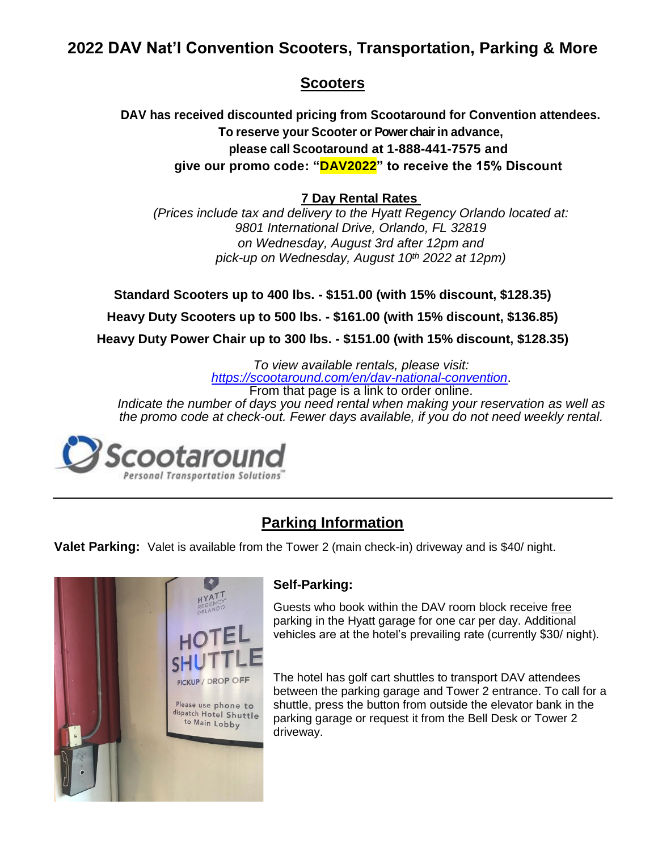# **2022 DAV Nat'l Convention Scooters, Transportation, Parking & More**

### **Scooters**

**DAV has received discounted pricing from Scootaround for Convention attendees. To reserve your Scooter or Power chairin advance, please call Scootaround at 1-888-441-7575 and give our promo code: "DAV2022" to receive the 15% Discount**

### **7 Day Rental Rates**

*(Prices include tax and delivery to the Hyatt Regency Orlando located at: 9801 International Drive, Orlando, FL 32819 on Wednesday, August 3rd after 12pm and pick-up on Wednesday, August 10th 2022 at 12pm)*

**Standard Scooters up to 400 lbs. - \$151.00 (with 15% discount, \$128.35)**

**Heavy Duty Scooters up to 500 lbs. - \$161.00 (with 15% discount, \$136.85)**

**Heavy Duty Power Chair up to 300 lbs. - \$151.00 (with 15% discount, \$128.35)** 

*To view available rentals, please visit: <https://scootaround.com/en/dav-national-convention>*. From that page is a link to order online.

*Indicate the number of days you need rental when making your reservation as well as the promo code at check-out. Fewer days available, if you do not need weekly rental.* 



# **Parking Information**

**Valet Parking:** Valet is available from the Tower 2 (main check-in) driveway and is \$40/ night.



### **Self-Parking:**

Guests who book within the DAV room block receive free parking in the Hyatt garage for one car per day. Additional vehicles are at the hotel's prevailing rate (currently \$30/ night).

The hotel has golf cart shuttles to transport DAV attendees between the parking garage and Tower 2 entrance. To call for a shuttle, press the button from outside the elevator bank in the parking garage or request it from the Bell Desk or Tower 2 driveway.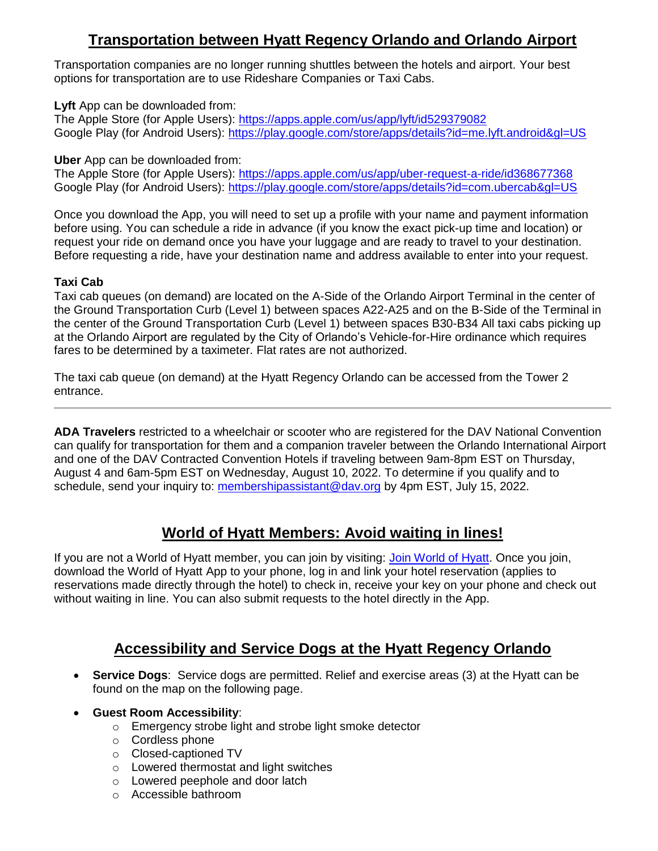# **Transportation between Hyatt Regency Orlando and Orlando Airport**

Transportation companies are no longer running shuttles between the hotels and airport. Your best options for transportation are to use Rideshare Companies or Taxi Cabs.

**Lyft** App can be downloaded from:

The Apple Store (for Apple Users):<https://apps.apple.com/us/app/lyft/id529379082> Google Play (for Android Users):<https://play.google.com/store/apps/details?id=me.lyft.android&gl=US>

**Uber** App can be downloaded from:

The Apple Store (for Apple Users):<https://apps.apple.com/us/app/uber-request-a-ride/id368677368> Google Play (for Android Users):<https://play.google.com/store/apps/details?id=com.ubercab&gl=US>

Once you download the App, you will need to set up a profile with your name and payment information before using. You can schedule a ride in advance (if you know the exact pick-up time and location) or request your ride on demand once you have your luggage and are ready to travel to your destination. Before requesting a ride, have your destination name and address available to enter into your request.

#### **Taxi Cab**

Taxi cab queues (on demand) are located on the A-Side of the Orlando Airport Terminal in the center of the Ground Transportation Curb (Level 1) between spaces A22-A25 and on the B-Side of the Terminal in the center of the Ground Transportation Curb (Level 1) between spaces B30-B34 All taxi cabs picking up at the Orlando Airport are regulated by the City of Orlando's Vehicle-for-Hire ordinance which requires fares to be determined by a taximeter. Flat rates are not authorized.

The taxi cab queue (on demand) at the Hyatt Regency Orlando can be accessed from the Tower 2 entrance.

**ADA Travelers** restricted to a wheelchair or scooter who are registered for the DAV National Convention can qualify for transportation for them and a companion traveler between the Orlando International Airport and one of the DAV Contracted Convention Hotels if traveling between 9am-8pm EST on Thursday, August 4 and 6am-5pm EST on Wednesday, August 10, 2022. To determine if you qualify and to schedule, send your inquiry to: [membershipassistant@dav.org](mailto:membershipassistant@dav.org) by 4pm EST, July 15, 2022.

## **World of Hyatt Members: Avoid waiting in lines!**

If you are not a World of Hyatt member, you can join by visiting: [Join World of Hyatt.](https://world.hyatt.com/content/gp/en/enroll.html) Once you join, download the World of Hyatt App to your phone, log in and link your hotel reservation (applies to reservations made directly through the hotel) to check in, receive your key on your phone and check out without waiting in line. You can also submit requests to the hotel directly in the App.

## **Accessibility and Service Dogs at the Hyatt Regency Orlando**

- **Service Dogs**: Service dogs are permitted. Relief and exercise areas (3) at the Hyatt can be found on the map on the following page.
- **Guest Room Accessibility**:
	- o Emergency strobe light and strobe light smoke detector
	- o Cordless phone
	- o Closed-captioned TV
	- o Lowered thermostat and light switches
	- o Lowered peephole and door latch
	- o Accessible bathroom